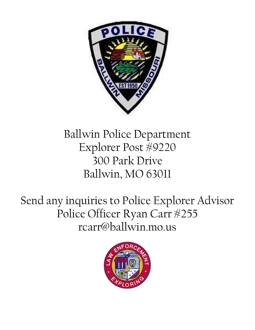

# Ballwin Police Department Explorer Post #9220 300 Park Drive Ballwin, MO 63011

Send any inquiries to Police Explorer Advisor Police Officer Ryan Carr #255 rcarr@ballwin.mo.us

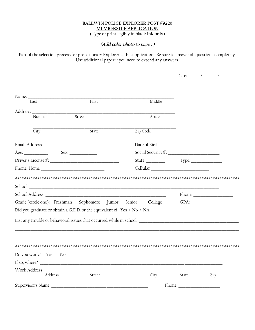## **BALLWIN POLICE EXPLORER POST #9220 MEMBERSHIP APPLICATION** (Type or print legibly in black ink only)

# (Add color photo to page 7)

Part of the selection process for probationary Explorer is this application. Be sure to answer all questions completely. Use additional paper if you need to extend any answers.

Date:  $\qquad$  /

| Last             | First                                                                                                                                   | Middle         |                                                                                                                                                                                                                                |     |
|------------------|-----------------------------------------------------------------------------------------------------------------------------------------|----------------|--------------------------------------------------------------------------------------------------------------------------------------------------------------------------------------------------------------------------------|-----|
|                  |                                                                                                                                         |                |                                                                                                                                                                                                                                |     |
| Number           | Street                                                                                                                                  | Apt. <i></i> ⊭ |                                                                                                                                                                                                                                |     |
| City             | State                                                                                                                                   | Zip Code       |                                                                                                                                                                                                                                |     |
|                  |                                                                                                                                         |                |                                                                                                                                                                                                                                |     |
|                  |                                                                                                                                         |                |                                                                                                                                                                                                                                |     |
|                  |                                                                                                                                         |                |                                                                                                                                                                                                                                |     |
|                  |                                                                                                                                         | Cellular       |                                                                                                                                                                                                                                |     |
|                  | Grade (circle one): Freshman Sophomore Junior Senior College<br>Did you graduate or obtain a G.E.D. or the equivalent of: Yes / No / NA |                |                                                                                                                                                                                                                                |     |
|                  |                                                                                                                                         |                |                                                                                                                                                                                                                                |     |
|                  |                                                                                                                                         |                |                                                                                                                                                                                                                                |     |
| Do you work? Yes | No                                                                                                                                      |                |                                                                                                                                                                                                                                |     |
|                  |                                                                                                                                         |                |                                                                                                                                                                                                                                |     |
|                  |                                                                                                                                         |                |                                                                                                                                                                                                                                |     |
| Address          | Street                                                                                                                                  | City           | State                                                                                                                                                                                                                          | Zip |
|                  | Supervisor's Name: 1988 and 1988 and 1988 and 1988 and 1988 and 1988 and 1988 and 1988 and 1988 and 1988 and 1                          |                | Phone: The contract of the contract of the contract of the contract of the contract of the contract of the contract of the contract of the contract of the contract of the contract of the contract of the contract of the con |     |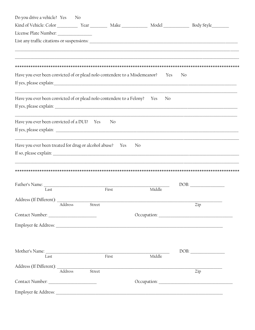| Do you drive a vehicle? Yes                                                | $\mathbf{N}$ o    |       |        |                                                                                                                                                                                                                                                                                                                                                                                                                                           |
|----------------------------------------------------------------------------|-------------------|-------|--------|-------------------------------------------------------------------------------------------------------------------------------------------------------------------------------------------------------------------------------------------------------------------------------------------------------------------------------------------------------------------------------------------------------------------------------------------|
|                                                                            |                   |       |        |                                                                                                                                                                                                                                                                                                                                                                                                                                           |
| License Plate Number: _______________                                      |                   |       |        |                                                                                                                                                                                                                                                                                                                                                                                                                                           |
|                                                                            |                   |       |        |                                                                                                                                                                                                                                                                                                                                                                                                                                           |
|                                                                            |                   |       |        |                                                                                                                                                                                                                                                                                                                                                                                                                                           |
|                                                                            |                   |       |        |                                                                                                                                                                                                                                                                                                                                                                                                                                           |
| Have you ever been convicted of or plead nolo contendere to a Misdemeanor? |                   |       | Yes    | No                                                                                                                                                                                                                                                                                                                                                                                                                                        |
|                                                                            |                   |       |        |                                                                                                                                                                                                                                                                                                                                                                                                                                           |
| Have you ever been convicted of or plead nolo contendere to a Felony? Yes  |                   |       | No     |                                                                                                                                                                                                                                                                                                                                                                                                                                           |
|                                                                            |                   |       |        |                                                                                                                                                                                                                                                                                                                                                                                                                                           |
|                                                                            |                   |       |        |                                                                                                                                                                                                                                                                                                                                                                                                                                           |
| Have you ever been convicted of a DUI? Yes                                 |                   | No    |        |                                                                                                                                                                                                                                                                                                                                                                                                                                           |
|                                                                            |                   |       |        |                                                                                                                                                                                                                                                                                                                                                                                                                                           |
|                                                                            |                   |       |        |                                                                                                                                                                                                                                                                                                                                                                                                                                           |
| Have you ever been treated for drug or alcohol abuse? Yes                  |                   |       | No     |                                                                                                                                                                                                                                                                                                                                                                                                                                           |
|                                                                            |                   |       |        |                                                                                                                                                                                                                                                                                                                                                                                                                                           |
|                                                                            |                   |       |        |                                                                                                                                                                                                                                                                                                                                                                                                                                           |
|                                                                            |                   |       |        |                                                                                                                                                                                                                                                                                                                                                                                                                                           |
|                                                                            |                   |       |        | $DOB: \begin{tabular}{ c c c } \hline \multicolumn{3}{ c }{\textbf{DOB}}: & \multicolumn{3}{ c }{\textbf{O}}: & \multicolumn{3}{ c }{\textbf{OOB}}: \\ \hline \multicolumn{3}{ c }{\textbf{DOB}}: & \multicolumn{3}{ c }{\textbf{O}}: & \multicolumn{3}{ c }{\textbf{O}}: & \multicolumn{3}{ c }{\textbf{O}}: & \multicolumn{3}{ c }{\textbf{O}}: & \multicolumn{3}{ c }{\textbf{O}}: & \multicolumn{3}{ c }{\textbf{O}}: & \multicolumn$ |
| Last                                                                       |                   | First | Middle |                                                                                                                                                                                                                                                                                                                                                                                                                                           |
| Address (If Different):                                                    |                   |       |        |                                                                                                                                                                                                                                                                                                                                                                                                                                           |
|                                                                            | Address<br>Street |       |        | Zip                                                                                                                                                                                                                                                                                                                                                                                                                                       |
|                                                                            |                   |       |        |                                                                                                                                                                                                                                                                                                                                                                                                                                           |
|                                                                            |                   |       |        |                                                                                                                                                                                                                                                                                                                                                                                                                                           |
|                                                                            |                   |       |        |                                                                                                                                                                                                                                                                                                                                                                                                                                           |
|                                                                            |                   |       |        |                                                                                                                                                                                                                                                                                                                                                                                                                                           |
| Mother's Name:<br>I ast First                                              |                   |       | Middle |                                                                                                                                                                                                                                                                                                                                                                                                                                           |
|                                                                            |                   |       |        |                                                                                                                                                                                                                                                                                                                                                                                                                                           |
| Address                                                                    | Street            |       |        | Zip                                                                                                                                                                                                                                                                                                                                                                                                                                       |
|                                                                            |                   |       |        |                                                                                                                                                                                                                                                                                                                                                                                                                                           |
|                                                                            |                   |       |        |                                                                                                                                                                                                                                                                                                                                                                                                                                           |
|                                                                            |                   |       |        |                                                                                                                                                                                                                                                                                                                                                                                                                                           |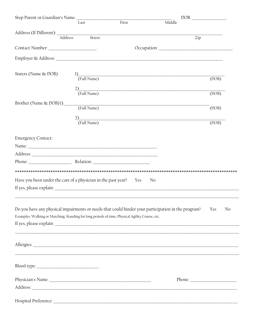| Step Parent or Guardian's Name:                                                                 |                   |       | DOB:                                                                                               |           |
|-------------------------------------------------------------------------------------------------|-------------------|-------|----------------------------------------------------------------------------------------------------|-----------|
|                                                                                                 | Last              | First | Middle                                                                                             |           |
|                                                                                                 |                   |       |                                                                                                    |           |
| Address (If Different): Address                                                                 | Street            |       | Zip                                                                                                |           |
| Contact Number: ________________________                                                        |                   |       |                                                                                                    |           |
|                                                                                                 |                   |       |                                                                                                    |           |
| Sisters (Name & DOB)                                                                            | 1)<br>(Full Name) |       |                                                                                                    | (DOB)     |
|                                                                                                 | 2)<br>(Full Name) |       |                                                                                                    | (DOB)     |
| Brother (Name & DOB)1)                                                                          | (Full Name)       |       |                                                                                                    | (DOB)     |
|                                                                                                 | 2)<br>(Full Name) |       |                                                                                                    | (DOB)     |
| <b>Emergency Contact:</b>                                                                       |                   |       |                                                                                                    |           |
|                                                                                                 |                   |       |                                                                                                    |           |
|                                                                                                 |                   |       |                                                                                                    |           |
| Phone: Relation:                                                                                |                   |       |                                                                                                    |           |
|                                                                                                 |                   |       |                                                                                                    |           |
| Have you been under the care of a physician in the past year? Yes                               |                   |       | No                                                                                                 |           |
|                                                                                                 |                   |       |                                                                                                    |           |
|                                                                                                 |                   |       |                                                                                                    |           |
|                                                                                                 |                   |       | Do you have any physical impairments or needs that could hinder your participation in the program? | Yes<br>No |
| Examples: Walking or Marching, Standing for long periods of time, Physical Agility Course, etc. |                   |       |                                                                                                    |           |
|                                                                                                 |                   |       |                                                                                                    |           |
|                                                                                                 |                   |       |                                                                                                    |           |
|                                                                                                 |                   |       |                                                                                                    |           |
|                                                                                                 |                   |       |                                                                                                    |           |
|                                                                                                 |                   |       |                                                                                                    |           |
|                                                                                                 |                   |       |                                                                                                    |           |
|                                                                                                 |                   |       |                                                                                                    |           |
|                                                                                                 |                   |       |                                                                                                    |           |
| Hospital Preference:                                                                            |                   |       |                                                                                                    |           |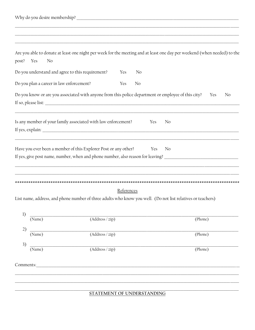| Are you able to donate at least one night per week for the meeting and at least one day per weekend (when needed) to the<br>Yes<br>No<br>post?                                    |                              |            |     |           |         |    |
|-----------------------------------------------------------------------------------------------------------------------------------------------------------------------------------|------------------------------|------------|-----|-----------|---------|----|
| Do you understand and agree to this requirement?                                                                                                                                  |                              | Yes        | No  |           |         |    |
| Do you plan a career in law enforcement?                                                                                                                                          |                              | Yes        | No  |           |         |    |
| Do you know or are you associated with anyone from this police department or employee of this city?                                                                               |                              |            |     |           | Yes     | No |
| Is any member of your family associated with law enforcement?                                                                                                                     |                              |            | Yes | No        |         |    |
| Have you ever been a member of this Explorer Post or any other?<br>If yes, give post name, number, when and phone number, also reason for leaving? ______________________________ |                              |            |     | No<br>Yes |         |    |
|                                                                                                                                                                                   |                              |            |     |           |         |    |
| List name, address, and phone number of three adults who know you well. (Do not list relatives or teachers)                                                                       |                              | References |     |           |         |    |
| 1)<br>(Name)                                                                                                                                                                      | $\overline{(Address / zip)}$ |            |     |           | (Phone) |    |
| 2)<br>(Name)                                                                                                                                                                      | $\overline{(Address / zip)}$ |            |     |           | (Phone) |    |
| 3)<br>(Name)                                                                                                                                                                      | (Address / zip)              |            |     |           | (Phone) |    |
| Comments:                                                                                                                                                                         |                              |            |     |           |         |    |
|                                                                                                                                                                                   | STATEMENT OF UNDERSTANDING   |            |     |           |         |    |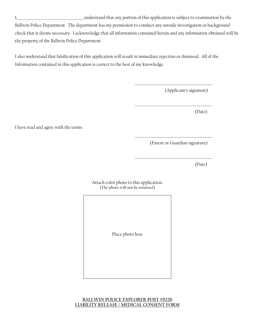I, \_\_\_\_\_\_\_\_\_\_\_\_\_\_\_\_\_\_\_\_\_\_\_\_\_\_\_\_\_\_\_\_\_\_\_\_\_, understand that any portion of this application is subject to examination by the Ballwin Police Department. The department has my permission to conduct any outside investigation or background check that it deems necessary. I acknowledge that all information contained herein and any information obtained will be the property of the Ballwin Police Department.

I also understand that falsification of this application will result in immediate rejection or dismissal. All of the Information contained in this application is correct to the best of my knowledge.

(Applicant's signature)

\_\_\_\_\_\_\_\_\_\_\_\_\_\_\_\_\_\_\_\_\_\_\_\_\_\_\_\_\_\_\_\_\_\_\_\_\_\_\_\_\_\_\_\_\_

\_\_\_\_\_\_\_\_\_\_\_\_\_\_\_\_\_\_\_\_\_\_\_\_\_\_\_\_\_\_\_\_\_\_\_\_\_\_\_\_\_\_\_\_\_

\_\_\_\_\_\_\_\_\_\_\_\_\_\_\_\_\_\_\_\_\_\_\_\_\_\_\_\_\_\_\_\_\_\_\_\_\_\_\_\_\_\_\_\_\_

\_\_\_\_\_\_\_\_\_\_\_\_\_\_\_\_\_\_\_\_\_\_\_\_\_\_\_\_\_\_\_\_\_\_\_\_\_\_\_\_\_\_\_\_\_

(Date)

I have read and agree with the terms.

(Parent or Guardian signature)

(Date)

Attach color photo to this application. (The photo will not be returned)

Place photo here

#### **BALLWIN POLICE EXPLORER POST #9220 LIABILITY RELEASE / MEDICAL CONSENT FORM**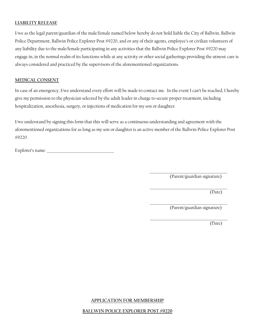## **LIABILITY RELEASE**

I/we as the legal parent/guardian of the male/female named below hereby do not hold liable the City of Ballwin, Ballwin Police Department, Ballwin Police Explorer Post #9220, and or any of their agents, employee's or civilian volunteers of any liability due to the male/female participating in any activities that the Ballwin Police Explorer Post #9220 may engage in, in the normal realm of its functions while at any activity or other social gatherings providing the utmost care is always considered and practiced by the supervisors of the aforementioned organizations.

## **MEDICAL CONSENT**

In case of an emergency, I/we understand every effort will be made to contact me. In the event I can't be reached, I hereby give my permission to the physician selected by the adult leader in charge to secure proper treatment, including hospitalization, anesthesia, surgery, or injections of medication for my son or daughter.

I/we understand by signing this form that this will serve as a continuous understanding and agreement with the aforementioned organizations for as long as my son or daughter is an active member of the Ballwin Police Explorer Post #9220 .

Explorer's name:

\_\_\_\_\_\_\_\_\_\_\_\_\_\_\_\_\_\_\_\_\_\_\_\_\_\_\_\_\_\_\_\_\_\_\_\_\_\_\_\_\_\_\_\_\_ (Parent/guardian signature)

\_\_\_\_\_\_\_\_\_\_\_\_\_\_\_\_\_\_\_\_\_\_\_\_\_\_\_\_\_\_\_\_\_\_\_\_\_\_\_\_\_\_\_\_\_ (Date)

\_\_\_\_\_\_\_\_\_\_\_\_\_\_\_\_\_\_\_\_\_\_\_\_\_\_\_\_\_\_\_\_\_\_\_\_\_\_\_\_\_\_\_\_\_ (Parent/guardian signature)

\_\_\_\_\_\_\_\_\_\_\_\_\_\_\_\_\_\_\_\_\_\_\_\_\_\_\_\_\_\_\_\_\_\_\_\_\_\_\_\_\_\_\_\_\_

(Date)

#### **APPLICATION FOR MEMBERSHIP**

#### **BALLWIN POLICE EXPLORER POST #9220**